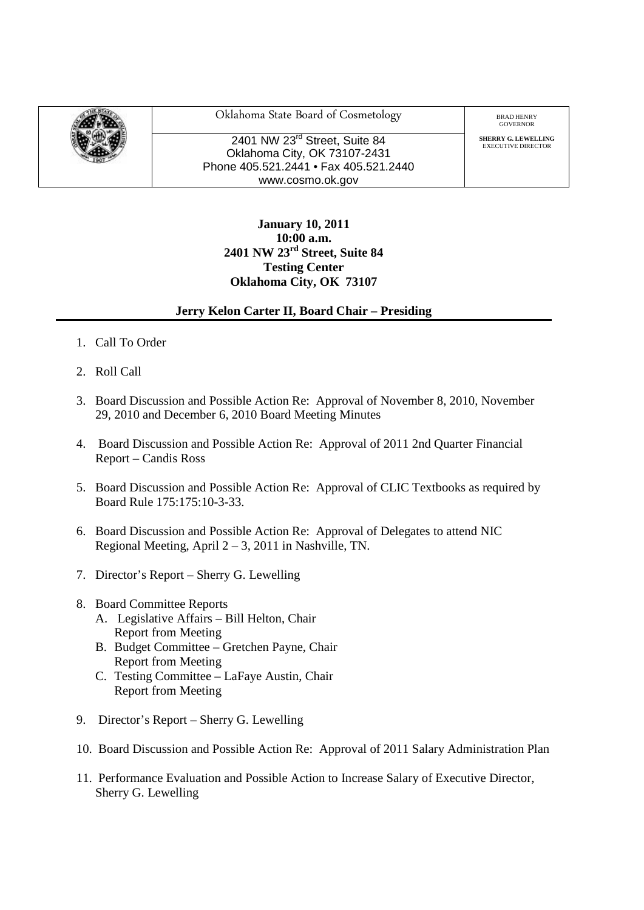

Oklahoma State Board of Cosmetology BRAD HENRY

2401 NW 23<sup>rd</sup> Street, Suite 84 Oklahoma City, OK 73107-2431 Phone 405.521.2441 • Fax 405.521.2440 www.cosmo.ok.gov

GOVERNOR

**SHERRY G. LEWELLING**<br>EXECUTIVE DIRECTOR

## **January 10, 2011 10:00 a.m. 2401 NW 23rd Street, Suite 84 Testing Center Oklahoma City, OK 73107**

## **Jerry Kelon Carter II, Board Chair – Presiding**

- 1. Call To Order
- 2. Roll Call
- 3. Board Discussion and Possible Action Re: Approval of November 8, 2010, November 29, 2010 and December 6, 2010 Board Meeting Minutes
- 4. Board Discussion and Possible Action Re: Approval of 2011 2nd Quarter Financial Report – Candis Ross
- 5. Board Discussion and Possible Action Re: Approval of CLIC Textbooks as required by Board Rule 175:175:10-3-33.
- 6. Board Discussion and Possible Action Re: Approval of Delegates to attend NIC Regional Meeting, April 2 – 3, 2011 in Nashville, TN.
- 7. Director's Report Sherry G. Lewelling
- 8. Board Committee Reports
	- A. Legislative Affairs Bill Helton, Chair Report from Meeting
	- B. Budget Committee Gretchen Payne, Chair Report from Meeting
	- C. Testing Committee LaFaye Austin, Chair Report from Meeting
- 9. Director's Report Sherry G. Lewelling
- 10. Board Discussion and Possible Action Re: Approval of 2011 Salary Administration Plan
- 11. Performance Evaluation and Possible Action to Increase Salary of Executive Director, Sherry G. Lewelling